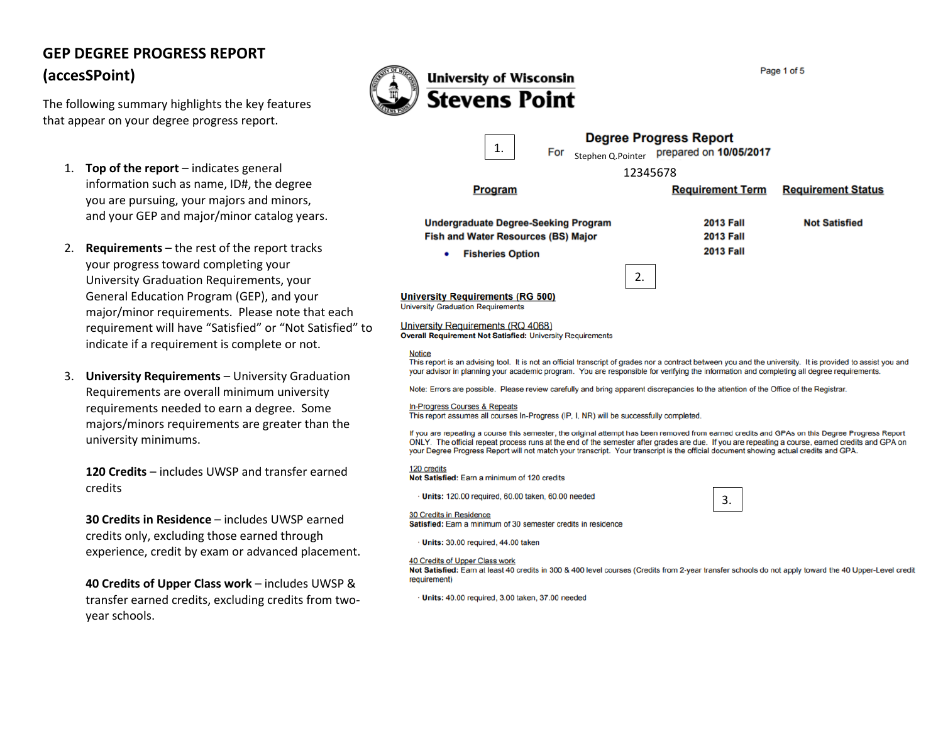# **GEP DEGREE PROGRESS REPORT (accesSPoint)**

The following summary highlights the key features that appear on your degree progress report.

- 1. **Top of the report** indicates general information such as name, ID#, the degree you are pursuing, your majors and minors, and your GEP and major/minor catalog years.
- 2. **Requirements** the rest of the report tracks your progress toward completing your University Graduation Requirements, your General Education Program (GEP), and your major/minor requirements. Please note that each requirement will have "Satisfied" or "Not Satisfied" to indicate if a requirement is complete or not.
- 3. **University Requirements** University Graduation Requirements are overall minimum university requirements needed to earn a degree. Some majors/minors requirements are greater than the university minimums.

**120 Credits** – includes UWSP and transfer earned credits

**30 Credits in Residence** – includes UWSP earned credits only, excluding those earned through experience, credit by exam or advanced placement.

**40 Credits of Upper Class work** – includes UWSP & transfer earned credits, excluding credits from twoyear schools.



**Stevens Point Degree Progress Report** 1. Stephen Q.Pointer prepared on 10/05/2017 12345678 **Program Requirement Term Requirement Status Undergraduate Degree-Seeking Program 2013 Fall Not Satisfied Fish and Water Resources (BS) Major 2013 Fall 2013 Fall**  $\bullet$ **Fisheries Option** 2. **University Requirements (RG 500) University Graduation Requirements** University Requirements (RQ 4068) **Overall Requirement Not Satisfied: University Requirements Notice** This report is an advising tool. It is not an official transcript of grades nor a contract between you and the university. It is provided to assist you and your advisor in planning your academic program. You are responsible for verifying the information and completing all degree requirements. Note: Errors are possible. Please review carefully and bring apparent discrepancies to the attention of the Office of the Registrar. **In-Progress Courses & Repeats** This report assumes all courses In-Progress (IP, I, NR) will be successfully completed. If you are repeating a course this semester, the original attempt has been removed from earned credits and GPAs on this Degree Progress Report ONLY. The official repeat process runs at the end of the semester after grades are due. If you are repeating a course, earned credits and GPA on

your Degree Progress Report will not match your transcript. Your transcript is the official document showing actual credits and GPA.

120 credits

Not Satisfied: Earn a minimum of 120 credits

· Units: 120.00 required, 60.00 taken, 60.00 needed

3.

**30 Credits in Residence** Satisfied: Earn a minimum of 30 semester credits in residence

· Units: 30.00 required, 44.00 taken

#### 40 Credits of Upper Class work

Not Satisfied: Earn at least 40 credits in 300 & 400 level courses (Credits from 2-year transfer schools do not apply toward the 40 Upper-Level credit requirement)

· Units: 40.00 required, 3.00 taken, 37.00 needed

Page 1 of 5